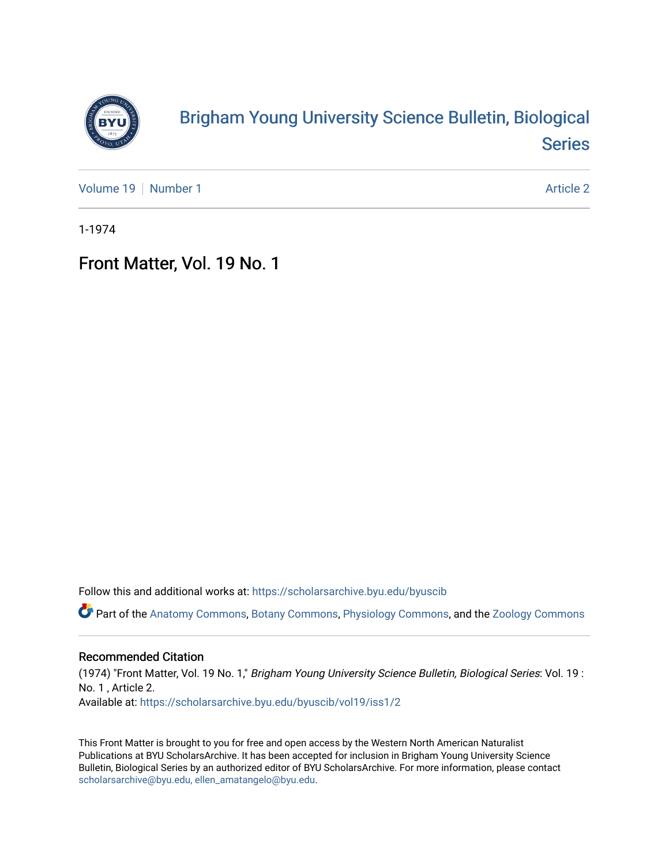

## [Brigham Young University Science Bulletin, Biological](https://scholarsarchive.byu.edu/byuscib)  [Series](https://scholarsarchive.byu.edu/byuscib)

[Volume 19](https://scholarsarchive.byu.edu/byuscib/vol19) [Number 1](https://scholarsarchive.byu.edu/byuscib/vol19/iss1) Article 2

1-1974

## Front Matter, Vol. 19 No. 1

Follow this and additional works at: [https://scholarsarchive.byu.edu/byuscib](https://scholarsarchive.byu.edu/byuscib?utm_source=scholarsarchive.byu.edu%2Fbyuscib%2Fvol19%2Fiss1%2F2&utm_medium=PDF&utm_campaign=PDFCoverPages)

Part of the [Anatomy Commons,](http://network.bepress.com/hgg/discipline/903?utm_source=scholarsarchive.byu.edu%2Fbyuscib%2Fvol19%2Fiss1%2F2&utm_medium=PDF&utm_campaign=PDFCoverPages) [Botany Commons,](http://network.bepress.com/hgg/discipline/104?utm_source=scholarsarchive.byu.edu%2Fbyuscib%2Fvol19%2Fiss1%2F2&utm_medium=PDF&utm_campaign=PDFCoverPages) [Physiology Commons,](http://network.bepress.com/hgg/discipline/69?utm_source=scholarsarchive.byu.edu%2Fbyuscib%2Fvol19%2Fiss1%2F2&utm_medium=PDF&utm_campaign=PDFCoverPages) and the [Zoology Commons](http://network.bepress.com/hgg/discipline/81?utm_source=scholarsarchive.byu.edu%2Fbyuscib%2Fvol19%2Fiss1%2F2&utm_medium=PDF&utm_campaign=PDFCoverPages)

### Recommended Citation

(1974) "Front Matter, Vol. 19 No. 1," Brigham Young University Science Bulletin, Biological Series: Vol. 19 : No. 1 , Article 2. Available at: [https://scholarsarchive.byu.edu/byuscib/vol19/iss1/2](https://scholarsarchive.byu.edu/byuscib/vol19/iss1/2?utm_source=scholarsarchive.byu.edu%2Fbyuscib%2Fvol19%2Fiss1%2F2&utm_medium=PDF&utm_campaign=PDFCoverPages) 

This Front Matter is brought to you for free and open access by the Western North American Naturalist Publications at BYU ScholarsArchive. It has been accepted for inclusion in Brigham Young University Science Bulletin, Biological Series by an authorized editor of BYU ScholarsArchive. For more information, please contact [scholarsarchive@byu.edu, ellen\\_amatangelo@byu.edu](mailto:scholarsarchive@byu.edu,%20ellen_amatangelo@byu.edu).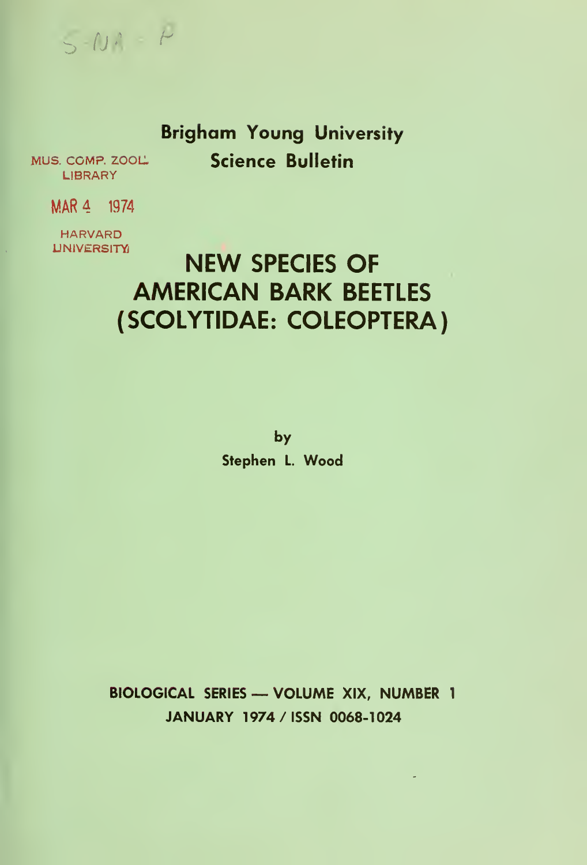

## Brigham Young University Science Bulletin

MUS. COMP. ZOOL. LIBRARY

MAR 4 1974

HARVARD **UNIVERSITY** 

# NEW SPECIES OF AMERICAN BARK BEETLES (SCOLYTIDAE: COLEOPTERA)

by

Stephen L. Wood

BIOLOGICAL SERIES — VOLUME XIX, NUMBER <sup>1</sup> JANUARY 1974 /ISSN 0068-1024